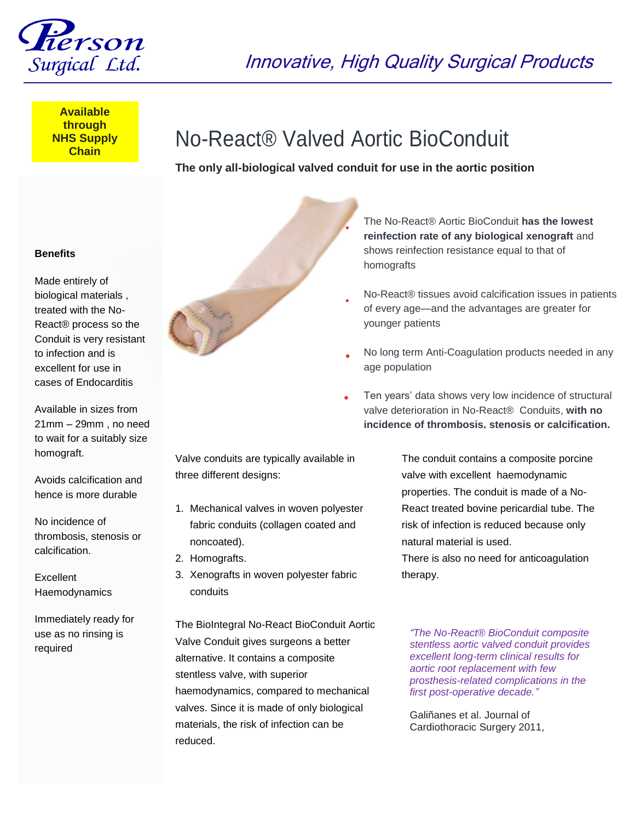

Innovative, High Quality Surgical Products

**Available through NHS Supply Chain**

## No-React® Valved Aortic BioConduit

**The only all-biological valved conduit for use in the aortic position**

## **Benefits**

Made entirely of biological materials , treated with the No-React® process so the Conduit is very resistant to infection and is excellent for use in cases of Endocarditis

Available in sizes from 21mm – 29mm , no need to wait for a suitably size homograft.

Avoids calcification and hence is more durable

No incidence of thrombosis, stenosis or calcification.

Excellent Haemodynamics

Immediately ready for use as no rinsing is required



**reinfection rate of any biological xenograft** and shows reinfection resistance equal to that of homografts

The No-React® Aortic BioConduit **has the lowest** 

- No-React® tissues avoid calcification issues in patients of every age—and the advantages are greater for younger patients
- No long term Anti-Coagulation products needed in any age population
- Ten years' data shows very low incidence of structural valve deterioration in No-React® Conduits, **with no incidence of thrombosis, stenosis or calcification.**

Valve conduits are typically available in three different designs:

- 1. Mechanical valves in woven polyester fabric conduits (collagen coated and noncoated).
- 2. Homografts.
- 3. Xenografts in woven polyester fabric conduits

The BioIntegral No-React BioConduit Aortic Valve Conduit gives surgeons a better alternative. It contains a composite stentless valve, with superior haemodynamics, compared to mechanical valves. Since it is made of only biological materials, the risk of infection can be reduced.

The conduit contains a composite porcine valve with excellent haemodynamic properties. The conduit is made of a No-React treated bovine pericardial tube. The risk of infection is reduced because only natural material is used.

There is also no need for anticoagulation therapy.

*"The No-React® BioConduit composite stentless aortic valved conduit provides excellent long-term clinical results for aortic root replacement with few prosthesis-related complications in the first post-operative decade."*

Galiñanes et al. Journal of Cardiothoracic Surgery 2011,